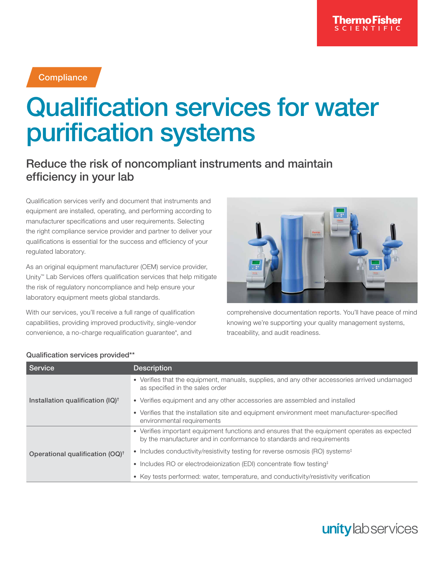### **Compliance**

# Qualification services for water purification systems

## Reduce the risk of noncompliant instruments and maintain efficiency in your lab

Qualification services verify and document that instruments and equipment are installed, operating, and performing according to manufacturer specifications and user requirements. Selecting the right compliance service provider and partner to deliver your qualifications is essential for the success and efficiency of your regulated laboratory.

As an original equipment manufacturer (OEM) service provider, Unity™ Lab Services offers qualification services that help mitigate the risk of regulatory noncompliance and help ensure your laboratory equipment meets global standards.

With our services, you'll receive a full range of qualification capabilities, providing improved productivity, single-vendor convenience, a no-charge requalification guarantee\*, and



comprehensive documentation reports. You'll have peace of mind knowing we're supporting your quality management systems, traceability, and audit readiness.

| Service                                     | <b>Description</b>                                                                                                                                                   |
|---------------------------------------------|----------------------------------------------------------------------------------------------------------------------------------------------------------------------|
| Installation qualification $(IQ)^{\dagger}$ | • Verifies that the equipment, manuals, supplies, and any other accessories arrived undamaged<br>as specified in the sales order                                     |
|                                             | • Verifies equipment and any other accessories are assembled and installed                                                                                           |
|                                             | • Verifies that the installation site and equipment environment meet manufacturer-specified<br>environmental requirements                                            |
|                                             | • Verifies important equipment functions and ensures that the equipment operates as expected<br>by the manufacturer and in conformance to standards and requirements |
| Operational qualification (OQ) <sup>†</sup> | • Includes conductivity/resistivity testing for reverse osmosis (RO) systems <sup>‡</sup>                                                                            |
|                                             | • Includes RO or electrodeionization (EDI) concentrate flow testing <sup>+</sup>                                                                                     |
|                                             | • Key tests performed: water, temperature, and conductivity/resistivity verification                                                                                 |

#### Qualification services provided\*\*